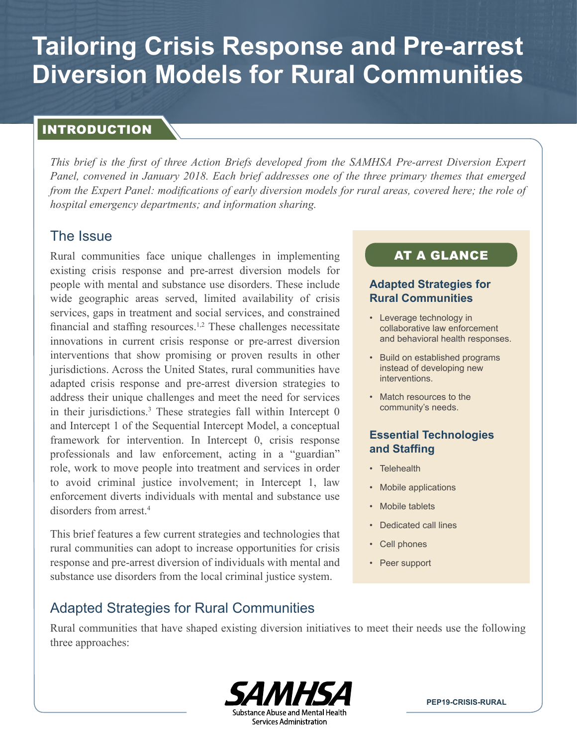# **Tailoring Crisis Response and Pre-arrest Diversion Models for Rural Communities**

## INTRODUCTION

*This brief is the first of three Action Briefs developed from the SAMHSA Pre-arrest Diversion Expert Panel, convened in January 2018. Each brief addresses one of the three primary themes that emerged from the Expert Panel: modifications of early diversion models for rural areas, covered here; the role of hospital emergency departments; and information sharing.*

## The Issue

Rural communities face unique challenges in implementing existing crisis response and pre-arrest diversion models for people with mental and substance use disorders. These include wide geographic areas served, limited availability of crisis services, gaps in treatment and social services, and constrained financial and staffing resources.<sup>[1,2](#page-5-0)</sup> These challenges necessitate innovations in current crisis response or pre-arrest diversion interventions that show promising or proven results in other jurisdictions. Across the United States, rural communities have adapted crisis response and pre-arrest diversion strategies to address their unique challenges and meet the need for services in their jurisdictions.<sup>3</sup> These strategies fall within Intercept 0 and Intercept 1 of the Sequential Intercept Model, a conceptual framework for intervention. In Intercept 0, crisis response professionals and law enforcement, acting in a "guardian" role, work to move people into treatment and services in order to avoid criminal justice involvement; in Intercept 1, law enforcement diverts individuals with mental and substance use disorders from arrest<sup>4</sup>

This brief features a few current strategies and technologies that rural communities can adopt to increase opportunities for crisis response and pre-arrest diversion of individuals with mental and substance use disorders from the local criminal justice system.

# AT A GLANCE

#### **Adapted Strategies for Rural Communities**

- Leverage technology in collaborative law enforcement and behavioral health responses.
- Build on established programs instead of developing new interventions.
- Match resources to the community's needs.

## **Essential Technologies and Staffing**

- Telehealth
- Mobile applications
- Mobile tablets
- Dedicated call lines
- Cell phones
- Peer support

## Adapted Strategies for Rural Communities

Rural communities that have shaped existing diversion initiatives to meet their needs use the following three approaches:



**PEP19-CRISIS-RURAL**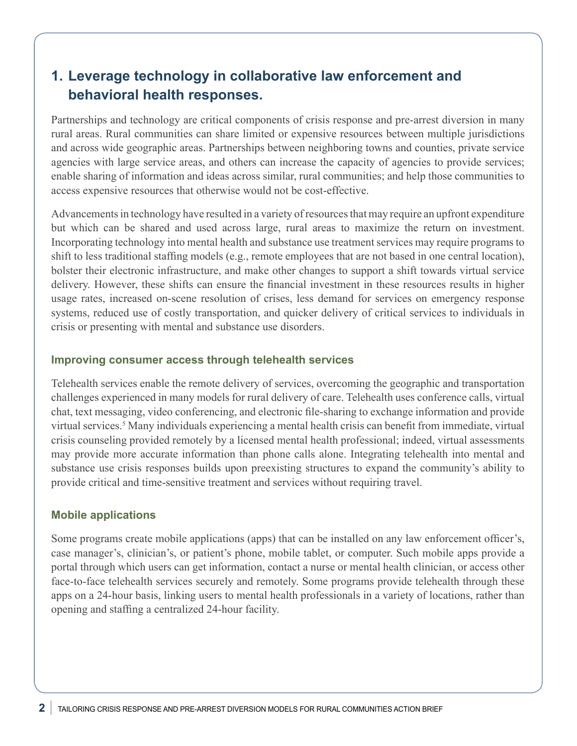# **1. Leverage technology in collaborative law enforcement and behavioral health responses.**

Partnerships and technology are critical components of crisis response and pre-arrest diversion in many rural areas. Rural communities can share limited or expensive resources between multiple jurisdictions and across wide geographic areas. Partnerships between neighboring towns and counties, private service agencies with large service areas, and others can increase the capacity of agencies to provide services; enable sharing of information and ideas across similar, rural communities; and help those communities to access expensive resources that otherwise would not be cost-effective.

Advancements in technology have resulted in a variety of resources that may require an upfront expenditure but which can be shared and used across large, rural areas to maximize the return on investment. Incorporating technology into mental health and substance use treatment services may require programs to shift to less traditional staffing models (e.g., remote employees that are not based in one central location), bolster their electronic infrastructure, and make other changes to support a shift towards virtual service delivery. However, these shifts can ensure the financial investment in these resources results in higher usage rates, increased on-scene resolution of crises, less demand for services on emergency response systems, reduced use of costly transportation, and quicker delivery of critical services to individuals in crisis or presenting with mental and substance use disorders.

#### **Improving consumer access through telehealth services**

Telehealth services enable the remote delivery of services, overcoming the geographic and transportation challenges experienced in many models for rural delivery of care. Telehealth uses conference calls, virtual chat, text messaging, video conferencing, and electronic file-sharing to exchange information and provide virtual services.<sup>[5](#page-5-0)</sup> Many individuals experiencing a mental health crisis can benefit from immediate, virtual crisis counseling provided remotely by a licensed mental health professional; indeed, virtual assessments may provide more accurate information than phone calls alone. Integrating telehealth into mental and substance use crisis responses builds upon preexisting structures to expand the community's ability to provide critical and time-sensitive treatment and services without requiring travel.

#### **Mobile applications**

Some programs create mobile applications (apps) that can be installed on any law enforcement officer's, case manager's, clinician's, or patient's phone, mobile tablet, or computer. Such mobile apps provide a portal through which users can get information, contact a nurse or mental health clinician, or access other face-to-face telehealth services securely and remotely. Some programs provide telehealth through these apps on a 24-hour basis, linking users to mental health professionals in a variety of locations, rather than opening and staffing a centralized 24-hour facility.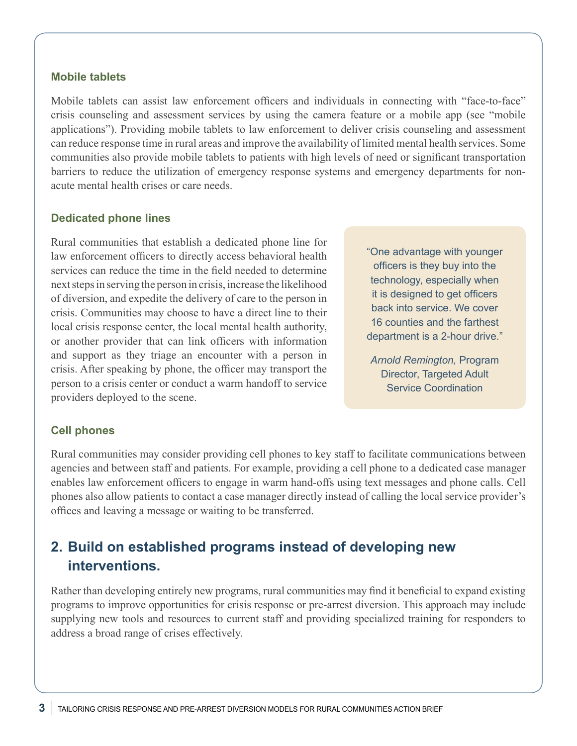#### **Mobile tablets**

Mobile tablets can assist law enforcement officers and individuals in connecting with "face-to-face" crisis counseling and assessment services by using the camera feature or a mobile app (see "mobile applications"). Providing mobile tablets to law enforcement to deliver crisis counseling and assessment can reduce response time in rural areas and improve the availability of limited mental health services. Some communities also provide mobile tablets to patients with high levels of need or significant transportation barriers to reduce the utilization of emergency response systems and emergency departments for nonacute mental health crises or care needs.

#### **Dedicated phone lines**

Rural communities that establish a dedicated phone line for law enforcement officers to directly access behavioral health services can reduce the time in the field needed to determine next steps in serving the person in crisis, increase the likelihood of diversion, and expedite the delivery of care to the person in crisis. Communities may choose to have a direct line to their local crisis response center, the local mental health authority, or another provider that can link officers with information and support as they triage an encounter with a person in crisis. After speaking by phone, the officer may transport the person to a crisis center or conduct a warm handoff to service providers deployed to the scene.

"One advantage with younger officers is they buy into the technology, especially when it is designed to get officers back into service. We cover 16 counties and the farthest department is a 2-hour drive."

*Arnold Remington,* Program Director, Targeted Adult Service Coordination

#### **Cell phones**

Rural communities may consider providing cell phones to key staff to facilitate communications between agencies and between staff and patients. For example, providing a cell phone to a dedicated case manager enables law enforcement officers to engage in warm hand-offs using text messages and phone calls. Cell phones also allow patients to contact a case manager directly instead of calling the local service provider's offices and leaving a message or waiting to be transferred.

# **2. Build on established programs instead of developing new interventions.**

Rather than developing entirely new programs, rural communities may find it beneficial to expand existing programs to improve opportunities for crisis response or pre-arrest diversion. This approach may include supplying new tools and resources to current staff and providing specialized training for responders to address a broad range of crises effectively.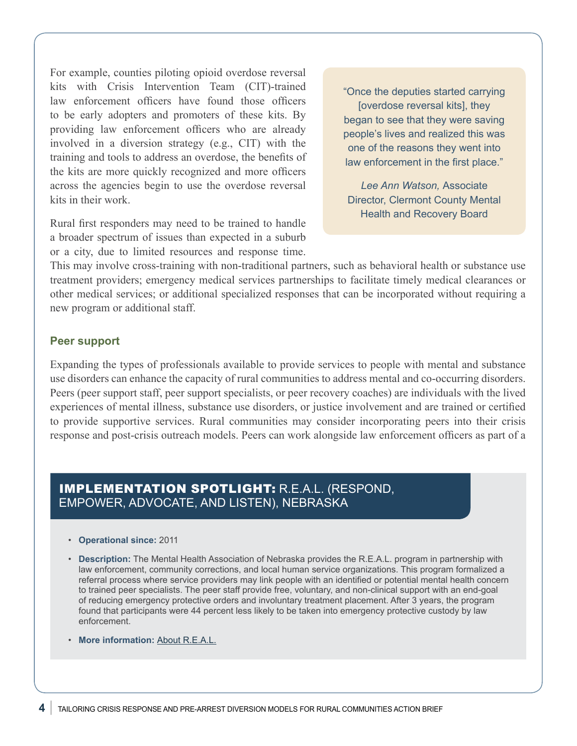For example, counties piloting opioid overdose reversal kits with Crisis Intervention Team (CIT)-trained law enforcement officers have found those officers to be early adopters and promoters of these kits. By providing law enforcement officers who are already involved in a diversion strategy (e.g., CIT) with the training and tools to address an overdose, the benefits of the kits are more quickly recognized and more officers across the agencies begin to use the overdose reversal kits in their work.

Rural first responders may need to be trained to handle a broader spectrum of issues than expected in a suburb or a city, due to limited resources and response time.

"Once the deputies started carrying [overdose reversal kits], they began to see that they were saving people's lives and realized this was one of the reasons they went into law enforcement in the first place."

*Lee Ann Watson,* Associate Director, Clermont County Mental Health and Recovery Board

This may involve cross-training with non-traditional partners, such as behavioral health or substance use treatment providers; emergency medical services partnerships to facilitate timely medical clearances or other medical services; or additional specialized responses that can be incorporated without requiring a new program or additional staff.

#### **Peer support**

Expanding the types of professionals available to provide services to people with mental and substance use disorders can enhance the capacity of rural communities to address mental and co-occurring disorders. Peers (peer support staff, peer support specialists, or peer recovery coaches) are individuals with the lived experiences of mental illness, substance use disorders, or justice involvement and are trained or certified to provide supportive services. Rural communities may consider incorporating peers into their crisis response and post-crisis outreach models. Peers can work alongside law enforcement officers as part of a

## IMPLEMENTATION SPOTLIGHT: R.E.A.L. (RESPOND, EMPOWER, ADVOCATE, AND LISTEN), NEBRASKA

- **Operational since:** 2011
- **Description:** The Mental Health Association of Nebraska provides the R.E.A.L. program in partnership with law enforcement, community corrections, and local human service organizations. This program formalized a referral process where service providers may link people with an identified or potential mental health concern to trained peer specialists. The peer staff provide free, voluntary, and non-clinical support with an end-goal of reducing emergency protective orders and involuntary treatment placement. After 3 years, the program found that participants were 44 percent less likely to be taken into emergency protective custody by law enforcement.
- **More information:** [About R.E.A.L.](https://mha-ne.org/programs-services/real-program.html)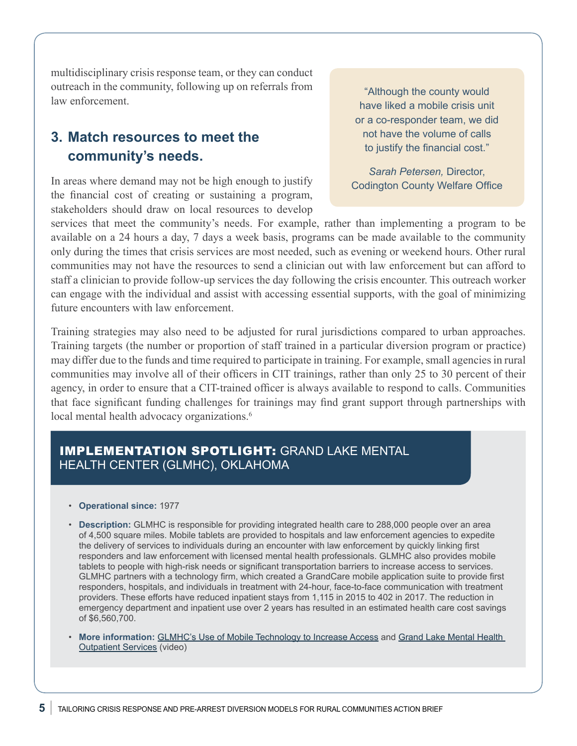multidisciplinary crisis response team, or they can conduct outreach in the community, following up on referrals from law enforcement.

# **3. Match resources to meet the community's needs.**

In areas where demand may not be high enough to justify the financial cost of creating or sustaining a program, stakeholders should draw on local resources to develop

"Although the county would have liked a mobile crisis unit or a co-responder team, we did not have the volume of calls to justify the financial cost."

*Sarah Petersen,* Director, Codington County Welfare Office

services that meet the community's needs. For example, rather than implementing a program to be available on a 24 hours a day, 7 days a week basis, programs can be made available to the community only during the times that crisis services are most needed, such as evening or weekend hours. Other rural communities may not have the resources to send a clinician out with law enforcement but can afford to staff a clinician to provide follow-up services the day following the crisis encounter. This outreach worker can engage with the individual and assist with accessing essential supports, with the goal of minimizing future encounters with law enforcement.

Training strategies may also need to be adjusted for rural jurisdictions compared to urban approaches. Training targets (the number or proportion of staff trained in a particular diversion program or practice) may differ due to the funds and time required to participate in training. For example, small agencies in rural communities may involve all of their officers in CIT trainings, rather than only 25 to 30 percent of their agency, in order to ensure that a CIT-trained officer is always available to respond to calls. Communities that face significant funding challenges for trainings may find grant support through partnerships with local mental health advocacy organizations.<sup>6</sup>

## IMPLEMENTATION SPOTLIGHT: GRAND LAKE MENTAL HEALTH CENTER (GLMHC), OKLAHOMA

- **Operational since:** 1977
- **Description:** GLMHC is responsible for providing integrated health care to 288,000 people over an area of 4,500 square miles. Mobile tablets are provided to hospitals and law enforcement agencies to expedite the delivery of services to individuals during an encounter with law enforcement by quickly linking first responders and law enforcement with licensed mental health professionals. GLMHC also provides mobile tablets to people with high-risk needs or significant transportation barriers to increase access to services. GLMHC partners with a technology firm, which created a GrandCare mobile application suite to provide first responders, hospitals, and individuals in treatment with 24-hour, face-to-face communication with treatment providers. These efforts have reduced inpatient stays from 1,115 in 2015 to 402 in 2017. The reduction in emergency department and inpatient use over 2 years has resulted in an estimated health care cost savings of \$6,560,700.
- **More information:** [GLMHC's Use of Mobile Technology to Increase Access](https://www.prainc.com/glmhc-mobile-technology/) and [Grand Lake Mental Health](https://youtu.be/7jtI8PBm7Hw)  [Outpatient Services](https://youtu.be/7jtI8PBm7Hw) (video)